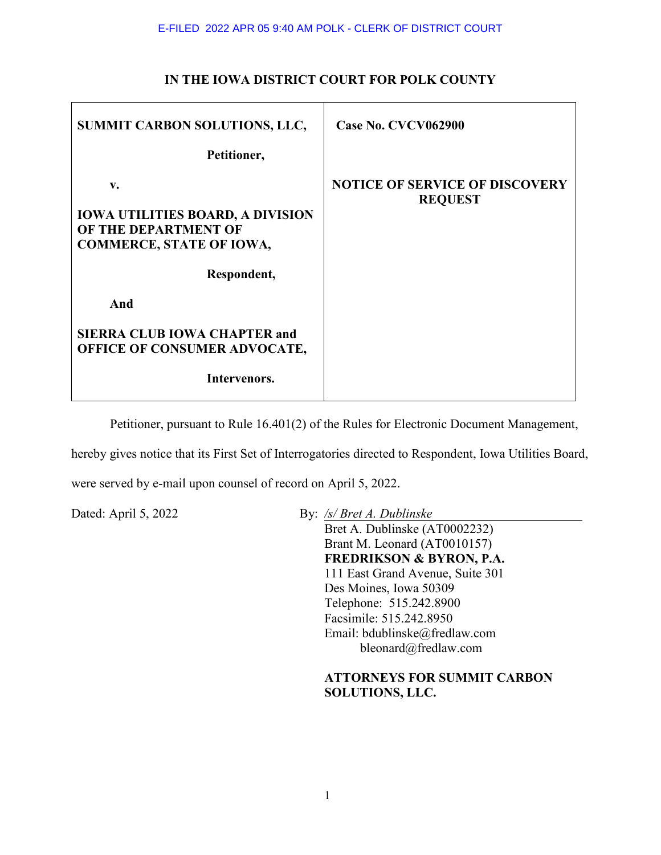| SUMMIT CARBON SOLUTIONS, LLC,                                                                            | Case No. CVCV062900                                     |
|----------------------------------------------------------------------------------------------------------|---------------------------------------------------------|
| Petitioner,                                                                                              |                                                         |
| V.<br><b>IOWA UTILITIES BOARD, A DIVISION</b><br>OF THE DEPARTMENT OF<br><b>COMMERCE, STATE OF IOWA,</b> | <b>NOTICE OF SERVICE OF DISCOVERY</b><br><b>REQUEST</b> |
| Respondent,                                                                                              |                                                         |
| And                                                                                                      |                                                         |
| <b>SIERRA CLUB IOWA CHAPTER and</b><br><b>OFFICE OF CONSUMER ADVOCATE,</b>                               |                                                         |
| Intervenors.                                                                                             |                                                         |

## **IN THE IOWA DISTRICT COURT FOR POLK COUNTY**

Petitioner, pursuant to Rule 16.401(2) of the Rules for Electronic Document Management,

hereby gives notice that its First Set of Interrogatories directed to Respondent, Iowa Utilities Board,

were served by e-mail upon counsel of record on April 5, 2022.

Dated: April 5, 2022 By: */s/ Bret A. Dublinske* 

Bret A. Dublinske (AT0002232) Brant M. Leonard (AT0010157) **FREDRIKSON & BYRON, P.A.** 111 East Grand Avenue, Suite 301 Des Moines, Iowa 50309 Telephone: 515.242.8900 Facsimile: 515.242.8950 Email: bdublinske@fredlaw.com bleonard@fredlaw.com

## **ATTORNEYS FOR SUMMIT CARBON SOLUTIONS, LLC.**